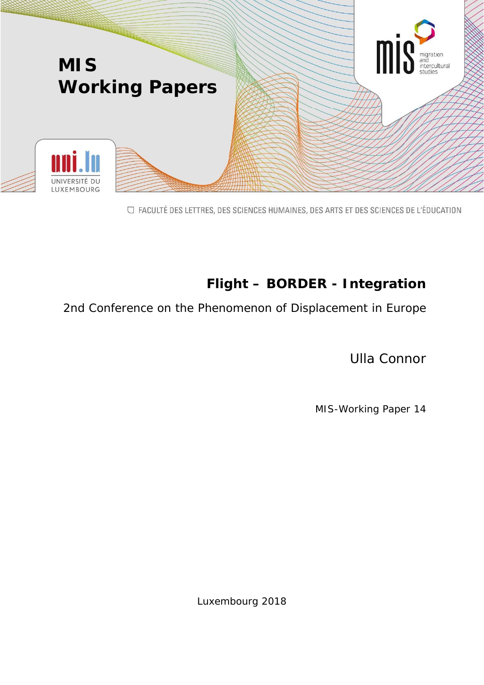

□ FACULTÉ DES LETTRES, DES SCIENCES HUMAINES, DES ARTS ET DES SCIENCES DE L'ÉDUCATION

# **Flight – BORDER - Integration**

2nd Conference on the Phenomenon of Displacement in Europe

Ulla Connor

MIS-Working Paper 14

Luxembourg 2018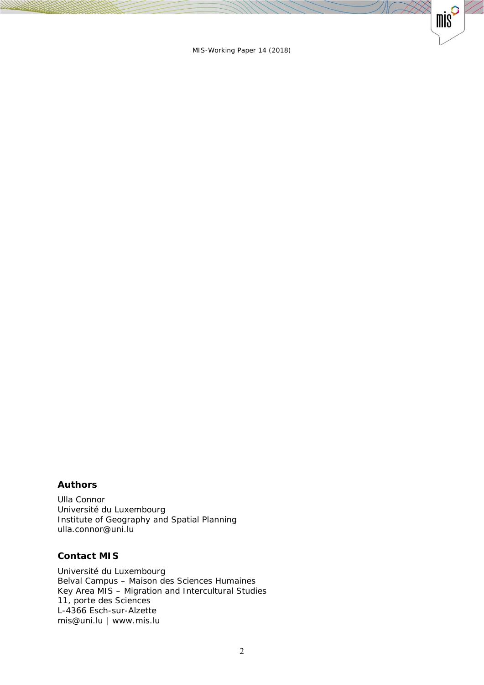$\otimes$ 

 $mis^{\circ}$ 

#### **Authors**

Ulla Connor Université du Luxembourg Institute of Geography and Spatial Planning ulla.connor@uni.lu

#### **Contact MIS**

Université du Luxembourg Belval Campus – Maison des Sciences Humaines Key Area MIS – Migration and Intercultural Studies 11, porte des Sciences L-4366 Esch-sur-Alzette mis@uni.lu | www.mis.lu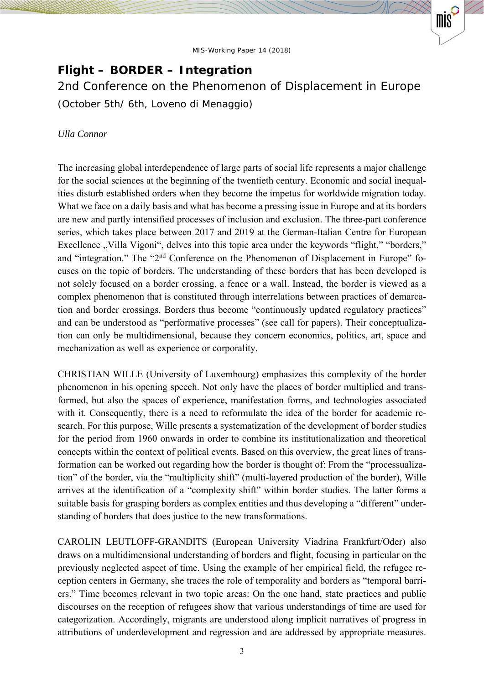mis

# **Flight – BORDER – Integration**

2nd Conference on the Phenomenon of Displacement in Europe (October 5th/ 6th, Loveno di Menaggio)

### *Ulla Connor*

The increasing global interdependence of large parts of social life represents a major challenge for the social sciences at the beginning of the twentieth century. Economic and social inequalities disturb established orders when they become the impetus for worldwide migration today. What we face on a daily basis and what has become a pressing issue in Europe and at its borders are new and partly intensified processes of inclusion and exclusion. The three-part conference series, which takes place between 2017 and 2019 at the German-Italian Centre for European Excellence "Villa Vigoni", delves into this topic area under the keywords "flight," "borders," and "integration." The "2<sup>nd</sup> Conference on the Phenomenon of Displacement in Europe" focuses on the topic of borders. The understanding of these borders that has been developed is not solely focused on a border crossing, a fence or a wall. Instead, the border is viewed as a complex phenomenon that is constituted through interrelations between practices of demarcation and border crossings. Borders thus become "continuously updated regulatory practices" and can be understood as "performative processes" (see call for papers). Their conceptualization can only be multidimensional, because they concern economics, politics, art, space and mechanization as well as experience or corporality.

CHRISTIAN WILLE (University of Luxembourg) emphasizes this complexity of the border phenomenon in his opening speech. Not only have the places of border multiplied and transformed, but also the spaces of experience, manifestation forms, and technologies associated with it. Consequently, there is a need to reformulate the idea of the border for academic research. For this purpose, Wille presents a systematization of the development of border studies for the period from 1960 onwards in order to combine its institutionalization and theoretical concepts within the context of political events. Based on this overview, the great lines of transformation can be worked out regarding how the border is thought of: From the "processualization" of the border, via the "multiplicity shift" (multi-layered production of the border), Wille arrives at the identification of a "complexity shift" within border studies. The latter forms a suitable basis for grasping borders as complex entities and thus developing a "different" understanding of borders that does justice to the new transformations.

CAROLIN LEUTLOFF-GRANDITS (European University Viadrina Frankfurt/Oder) also draws on a multidimensional understanding of borders and flight, focusing in particular on the previously neglected aspect of time. Using the example of her empirical field, the refugee reception centers in Germany, she traces the role of temporality and borders as "temporal barriers." Time becomes relevant in two topic areas: On the one hand, state practices and public discourses on the reception of refugees show that various understandings of time are used for categorization. Accordingly, migrants are understood along implicit narratives of progress in attributions of underdevelopment and regression and are addressed by appropriate measures.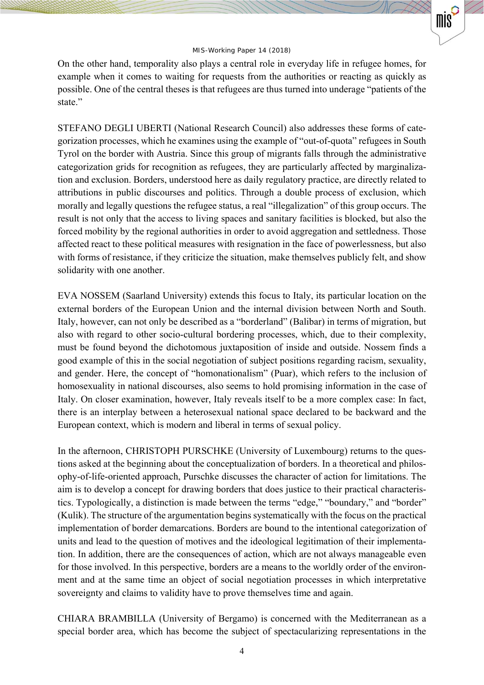mis

On the other hand, temporality also plays a central role in everyday life in refugee homes, for example when it comes to waiting for requests from the authorities or reacting as quickly as possible. One of the central theses is that refugees are thus turned into underage "patients of the state."

STEFANO DEGLI UBERTI (National Research Council) also addresses these forms of categorization processes, which he examines using the example of "out-of-quota" refugees in South Tyrol on the border with Austria. Since this group of migrants falls through the administrative categorization grids for recognition as refugees, they are particularly affected by marginalization and exclusion. Borders, understood here as daily regulatory practice, are directly related to attributions in public discourses and politics. Through a double process of exclusion, which morally and legally questions the refugee status, a real "illegalization" of this group occurs. The result is not only that the access to living spaces and sanitary facilities is blocked, but also the forced mobility by the regional authorities in order to avoid aggregation and settledness. Those affected react to these political measures with resignation in the face of powerlessness, but also with forms of resistance, if they criticize the situation, make themselves publicly felt, and show solidarity with one another.

EVA NOSSEM (Saarland University) extends this focus to Italy, its particular location on the external borders of the European Union and the internal division between North and South. Italy, however, can not only be described as a "borderland" (Balibar) in terms of migration, but also with regard to other socio-cultural bordering processes, which, due to their complexity, must be found beyond the dichotomous juxtaposition of inside and outside. Nossem finds a good example of this in the social negotiation of subject positions regarding racism, sexuality, and gender. Here, the concept of "homonationalism" (Puar), which refers to the inclusion of homosexuality in national discourses, also seems to hold promising information in the case of Italy. On closer examination, however, Italy reveals itself to be a more complex case: In fact, there is an interplay between a heterosexual national space declared to be backward and the European context, which is modern and liberal in terms of sexual policy.

In the afternoon, CHRISTOPH PURSCHKE (University of Luxembourg) returns to the questions asked at the beginning about the conceptualization of borders. In a theoretical and philosophy-of-life-oriented approach, Purschke discusses the character of action for limitations. The aim is to develop a concept for drawing borders that does justice to their practical characteristics. Typologically, a distinction is made between the terms "edge," "boundary," and "border" (Kulik). The structure of the argumentation begins systematically with the focus on the practical implementation of border demarcations. Borders are bound to the intentional categorization of units and lead to the question of motives and the ideological legitimation of their implementation. In addition, there are the consequences of action, which are not always manageable even for those involved. In this perspective, borders are a means to the worldly order of the environment and at the same time an object of social negotiation processes in which interpretative sovereignty and claims to validity have to prove themselves time and again.

CHIARA BRAMBILLA (University of Bergamo) is concerned with the Mediterranean as a special border area, which has become the subject of spectacularizing representations in the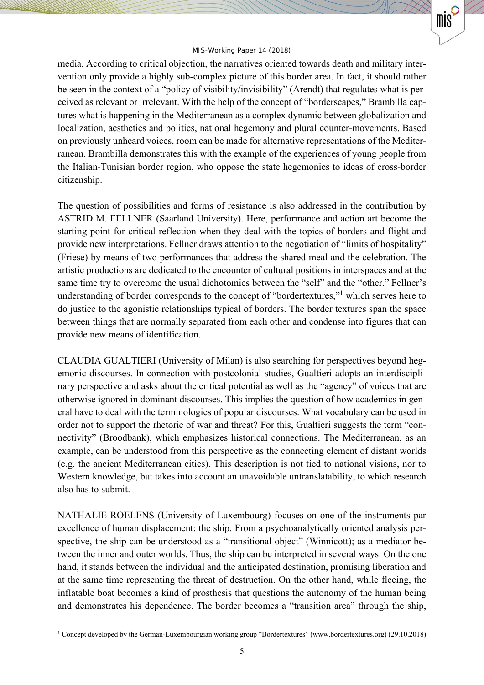mis

media. According to critical objection, the narratives oriented towards death and military intervention only provide a highly sub-complex picture of this border area. In fact, it should rather be seen in the context of a "policy of visibility/invisibility" (Arendt) that regulates what is perceived as relevant or irrelevant. With the help of the concept of "borderscapes," Brambilla captures what is happening in the Mediterranean as a complex dynamic between globalization and localization, aesthetics and politics, national hegemony and plural counter-movements. Based on previously unheard voices, room can be made for alternative representations of the Mediterranean. Brambilla demonstrates this with the example of the experiences of young people from the Italian-Tunisian border region, who oppose the state hegemonies to ideas of cross-border citizenship.

The question of possibilities and forms of resistance is also addressed in the contribution by ASTRID M. FELLNER (Saarland University). Here, performance and action art become the starting point for critical reflection when they deal with the topics of borders and flight and provide new interpretations. Fellner draws attention to the negotiation of "limits of hospitality" (Friese) by means of two performances that address the shared meal and the celebration. The artistic productions are dedicated to the encounter of cultural positions in interspaces and at the same time try to overcome the usual dichotomies between the "self" and the "other." Fellner's understanding of border corresponds to the concept of "bordertextures,"<sup>1</sup> which serves here to do justice to the agonistic relationships typical of borders. The border textures span the space between things that are normally separated from each other and condense into figures that can provide new means of identification.

CLAUDIA GUALTIERI (University of Milan) is also searching for perspectives beyond hegemonic discourses. In connection with postcolonial studies, Gualtieri adopts an interdisciplinary perspective and asks about the critical potential as well as the "agency" of voices that are otherwise ignored in dominant discourses. This implies the question of how academics in general have to deal with the terminologies of popular discourses. What vocabulary can be used in order not to support the rhetoric of war and threat? For this, Gualtieri suggests the term "connectivity" (Broodbank), which emphasizes historical connections. The Mediterranean, as an example, can be understood from this perspective as the connecting element of distant worlds (e.g. the ancient Mediterranean cities). This description is not tied to national visions, nor to Western knowledge, but takes into account an unavoidable untranslatability, to which research also has to submit.

NATHALIE ROELENS (University of Luxembourg) focuses on one of the instruments par excellence of human displacement: the ship. From a psychoanalytically oriented analysis perspective, the ship can be understood as a "transitional object" (Winnicott); as a mediator between the inner and outer worlds. Thus, the ship can be interpreted in several ways: On the one hand, it stands between the individual and the anticipated destination, promising liberation and at the same time representing the threat of destruction. On the other hand, while fleeing, the inflatable boat becomes a kind of prosthesis that questions the autonomy of the human being and demonstrates his dependence. The border becomes a "transition area" through the ship,

1

<sup>1</sup> Concept developed by the German-Luxembourgian working group "Bordertextures" (www.bordertextures.org) (29.10.2018)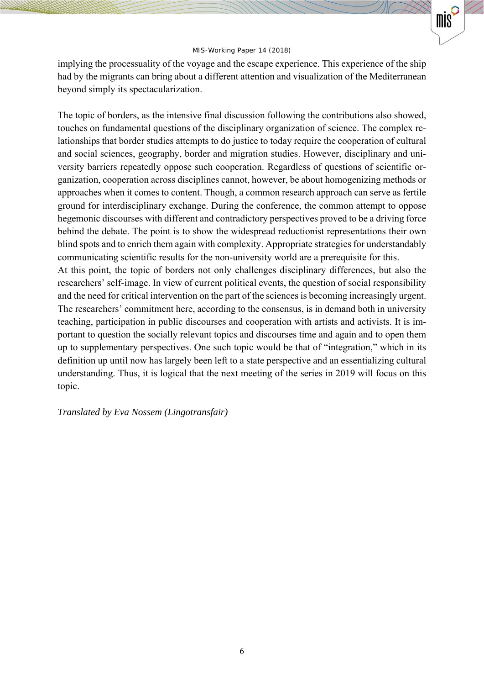mis

implying the processuality of the voyage and the escape experience. This experience of the ship had by the migrants can bring about a different attention and visualization of the Mediterranean beyond simply its spectacularization.

The topic of borders, as the intensive final discussion following the contributions also showed, touches on fundamental questions of the disciplinary organization of science. The complex relationships that border studies attempts to do justice to today require the cooperation of cultural and social sciences, geography, border and migration studies. However, disciplinary and university barriers repeatedly oppose such cooperation. Regardless of questions of scientific organization, cooperation across disciplines cannot, however, be about homogenizing methods or approaches when it comes to content. Though, a common research approach can serve as fertile ground for interdisciplinary exchange. During the conference, the common attempt to oppose hegemonic discourses with different and contradictory perspectives proved to be a driving force behind the debate. The point is to show the widespread reductionist representations their own blind spots and to enrich them again with complexity. Appropriate strategies for understandably communicating scientific results for the non-university world are a prerequisite for this.

At this point, the topic of borders not only challenges disciplinary differences, but also the researchers' self-image. In view of current political events, the question of social responsibility and the need for critical intervention on the part of the sciences is becoming increasingly urgent. The researchers' commitment here, according to the consensus, is in demand both in university teaching, participation in public discourses and cooperation with artists and activists. It is important to question the socially relevant topics and discourses time and again and to open them up to supplementary perspectives. One such topic would be that of "integration," which in its definition up until now has largely been left to a state perspective and an essentializing cultural understanding. Thus, it is logical that the next meeting of the series in 2019 will focus on this topic.

#### *Translated by Eva Nossem (Lingotransfair)*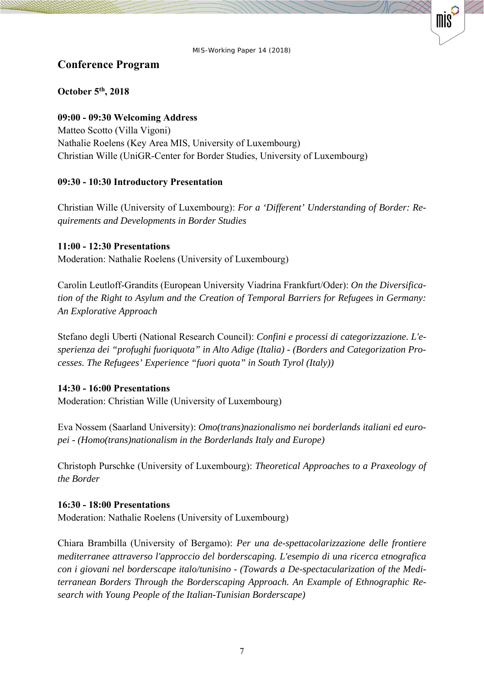$m s$ 

# **Conference Program**

# **October 5th, 2018**

## **09:00 - 09:30 Welcoming Address**

Matteo Scotto (Villa Vigoni) Nathalie Roelens (Key Area MIS, University of Luxembourg) Christian Wille (UniGR-Center for Border Studies, University of Luxembourg)

# **09:30 - 10:30 Introductory Presentation**

Christian Wille (University of Luxembourg): *For a 'Different' Understanding of Border: Requirements and Developments in Border Studies* 

## **11:00 - 12:30 Presentations**

Moderation: Nathalie Roelens (University of Luxembourg)

Carolin Leutloff-Grandits (European University Viadrina Frankfurt/Oder): *On the Diversification of the Right to Asylum and the Creation of Temporal Barriers for Refugees in Germany: An Explorative Approach* 

Stefano degli Uberti (National Research Council): *Confini e processi di categorizzazione. L'esperienza dei "profughi fuoriquota" in Alto Adige (Italia) - (Borders and Categorization Processes. The Refugees' Experience "fuori quota" in South Tyrol (Italy))* 

# **14:30 - 16:00 Presentations**

Moderation: Christian Wille (University of Luxembourg)

Eva Nossem (Saarland University): *Omo(trans)nazionalismo nei borderlands italiani ed europei - (Homo(trans)nationalism in the Borderlands Italy and Europe)* 

Christoph Purschke (University of Luxembourg): *Theoretical Approaches to a Praxeology of the Border* 

## **16:30 - 18:00 Presentations**

Moderation: Nathalie Roelens (University of Luxembourg)

Chiara Brambilla (University of Bergamo): *Per una de-spettacolarizzazione delle frontiere mediterranee attraverso l'approccio del borderscaping. L'esempio di una ricerca etnografica con i giovani nel borderscape italo/tunisino - (Towards a De-spectacularization of the Mediterranean Borders Through the Borderscaping Approach. An Example of Ethnographic Research with Young People of the Italian-Tunisian Borderscape)*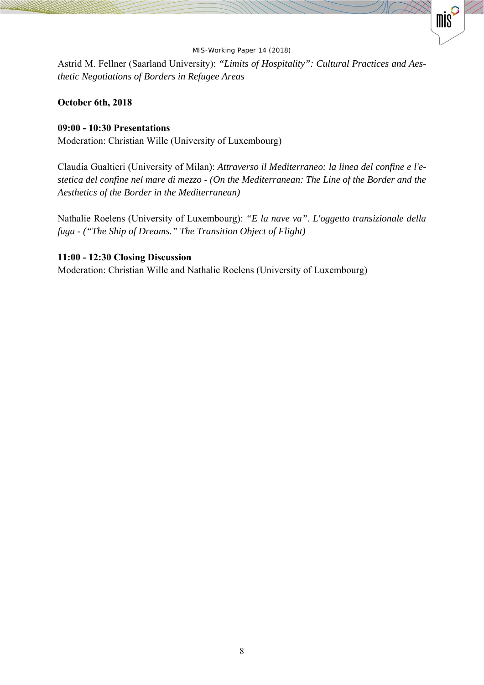mis

Astrid M. Fellner (Saarland University): *"Limits of Hospitality": Cultural Practices and Aesthetic Negotiations of Borders in Refugee Areas* 

### **October 6th, 2018**

### **09:00 - 10:30 Presentations**

Moderation: Christian Wille (University of Luxembourg)

Claudia Gualtieri (University of Milan): *Attraverso il Mediterraneo: la linea del confine e l'estetica del confine nel mare di mezzo - (On the Mediterranean: The Line of the Border and the Aesthetics of the Border in the Mediterranean)* 

Nathalie Roelens (University of Luxembourg): *"E la nave va". L'oggetto transizionale della fuga - ("The Ship of Dreams." The Transition Object of Flight)* 

### **11:00 - 12:30 Closing Discussion**

Moderation: Christian Wille and Nathalie Roelens (University of Luxembourg)